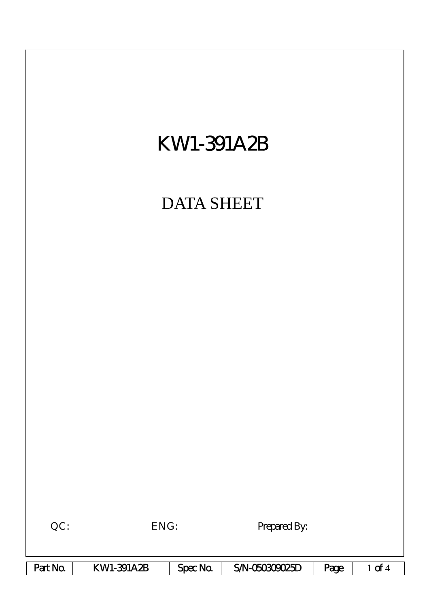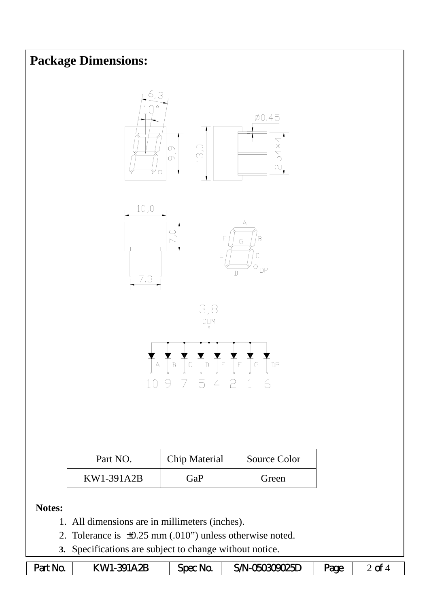## **Package Dimensions:**







| Part NO.   | Chip Material | Source Color |
|------------|---------------|--------------|
| KW1-391A2B | GaP           | Green        |

**Notes:** 

- 1. All dimensions are in millimeters (inches).
- 2. Tolerance is ±0.25 mm (.010") unless otherwise noted.
- **3.** Specifications are subject to change without notice.

| Part No. | KWI-391A2B | Spec No. | SAN-060809025D | <b>age</b> | $\sim$<br><u>u</u> |
|----------|------------|----------|----------------|------------|--------------------|
|----------|------------|----------|----------------|------------|--------------------|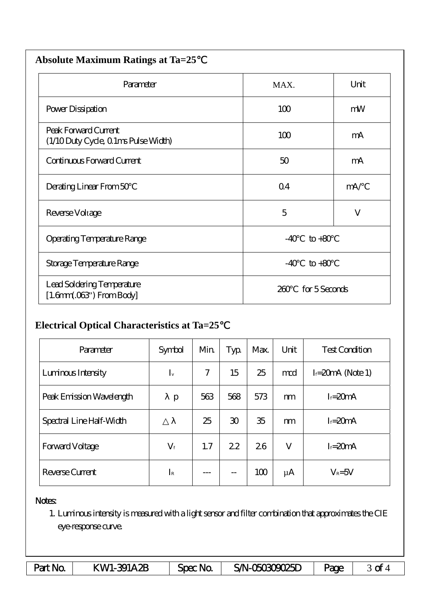| <b>Absolute Maximum Ratings at Ta=25</b>                     |                          |         |  |  |
|--------------------------------------------------------------|--------------------------|---------|--|--|
| Parameter                                                    | MAX.                     | Unit    |  |  |
| Power Dissipation                                            | 100                      | mW      |  |  |
| Peak Forward Current<br>(1/10 Duty Cycle, 0 1ms Pulse Width) | 100                      | mA      |  |  |
| Continuous Forward Current                                   | 50                       | mA      |  |  |
| Derating Linear From 50                                      | Q <sub>4</sub>           | mA/     |  |  |
| Reverse Voltage                                              | 5                        | $\bf V$ |  |  |
| Operating Temperature Range                                  | $-40$<br>$\text{to} +80$ |         |  |  |
| Storage Temperature Range                                    | $-40$<br>$to+80$         |         |  |  |
| Lead Soldering Temperature<br>$[1.6mm.03$ ") From Body       | for 5 Seconds<br>260     |         |  |  |

## **Electrical Optical Characteristics at Ta=25**℃

| Parameter                | Symbol      | Min | Typ            | Max. | Unit    | <b>Test Condition</b> |
|--------------------------|-------------|-----|----------------|------|---------|-----------------------|
| Luninous Intensity       | $I_{v}$     | 7   | 15             | 25   | md      | $I = 20$ mA (Note 1)  |
| Peak Emission Wavelength | p           | 563 | 568            | 573  | m       | $I = 20mA$            |
| Spectral Line Half-Width |             | 25  | $\mathfrak{D}$ | 35   | m       | $I = 20mA$            |
| <b>Forward Voltage</b>   | $V_{\rm f}$ | 1.7 | 22             | 26   | V       | $I = 20mA$            |
| Reverse Current          | $I_{\rm R}$ |     | $-$            | 100  | $\mu$ A | $V_R = 5V$            |

## Notes:

1. Luminous intensity is measured with a light sensor and filter combination that approximates the CIE eye-response curve.

| Part No. | KWI-391A2B | $Spec$ No. | SAN-060809025D | <b>age</b> | ∼<br>∽ |
|----------|------------|------------|----------------|------------|--------|
|----------|------------|------------|----------------|------------|--------|